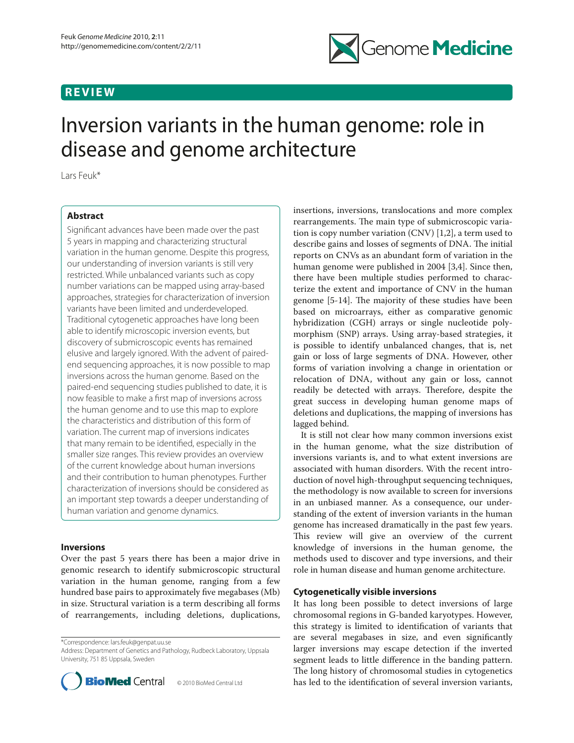# **REVIEW**



# Inversion variants in the human genome: role in disease and genome architecture

Lars Feuk\*

# **Abstract**

Significant advances have been made over the past 5 years in mapping and characterizing structural variation in the human genome. Despite this progress, our understanding of inversion variants is still very restricted. While unbalanced variants such as copy number variations can be mapped using array-based approaches, strategies for characterization of inversion variants have been limited and underdeveloped. Traditional cytogenetic approaches have long been able to identify microscopic inversion events, but discovery of submicroscopic events has remained elusive and largely ignored. With the advent of pairedend sequencing approaches, it is now possible to map inversions across the human genome. Based on the paired-end sequencing studies published to date, it is now feasible to make a first map of inversions across the human genome and to use this map to explore the characteristics and distribution of this form of variation. The current map of inversions indicates that many remain to be identified, especially in the smaller size ranges. This review provides an overview of the current knowledge about human inversions and their contribution to human phenotypes. Further characterization of inversions should be considered as an important step towards a deeper understanding of human variation and genome dynamics.

# **Inversions**

Over the past 5 years there has been a major drive in genomic research to identify submicroscopic structural variation in the human genome, ranging from a few hundred base pairs to approximately five megabases (Mb) in size. Structural variation is a term describing all forms of rearrangements, including deletions, duplications,

\*Correspondence: lars.feuk@genpat.uu.se

Address: Department of Genetics and Pathology, Rudbeck Laboratory, Uppsala University, 751 85 Uppsala, Sweden



insertions, inversions, translocations and more complex rearrangements. The main type of submicroscopic variation is copy number variation (CNV) [1,2], a term used to describe gains and losses of segments of DNA. The initial reports on CNVs as an abundant form of variation in the human genome were published in 2004 [3,4]. Since then, there have been multiple studies performed to characterize the extent and importance of CNV in the human genome  $[5-14]$ . The majority of these studies have been based on microarrays, either as comparative genomic hybridization (CGH) arrays or single nucleotide polymorphism (SNP) arrays. Using array-based strategies, it is possible to identify unbalanced changes, that is, net gain or loss of large segments of DNA. However, other forms of variation involving a change in orientation or relocation of DNA, without any gain or loss, cannot readily be detected with arrays. Therefore, despite the great success in developing human genome maps of deletions and duplications, the mapping of inversions has lagged behind.

It is still not clear how many common inversions exist in the human genome, what the size distribution of inversions variants is, and to what extent inversions are associated with human disorders. With the recent introduction of novel high-throughput sequencing techniques, the methodology is now available to screen for inversions in an unbiased manner. As a consequence, our understanding of the extent of inversion variants in the human genome has increased dramatically in the past few years. This review will give an overview of the current knowledge of inversions in the human genome, the methods used to discover and type inversions, and their role in human disease and human genome architecture.

# **Cytogenetically visible inversions**

It has long been possible to detect inversions of large chromosomal regions in G-banded karyotypes. However, this strategy is limited to identification of variants that are several megabases in size, and even significantly larger inversions may escape detection if the inverted segment leads to little difference in the banding pattern. The long history of chromosomal studies in cytogenetics has led to the identification of several inversion variants,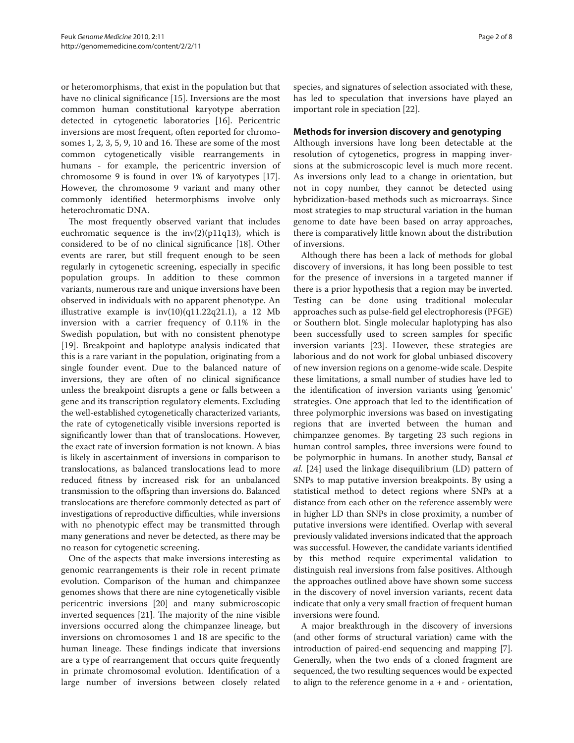or heteromorphisms, that exist in the population but that have no clinical significance [15]. Inversions are the most common human constitutional karyotype aberration detected in cytogenetic laboratories [16]. Pericentric inversions are most frequent, often reported for chromosomes 1, 2, 3, 5, 9, 10 and 16. These are some of the most common cytogenetically visible rearrangements in humans - for example, the pericentric inversion of chromosome 9 is found in over 1% of karyotypes [17]. However, the chromosome 9 variant and many other commonly identified hetermorphisms involve only heterochromatic DNA.

The most frequently observed variant that includes euchromatic sequence is the  $inv(2)(p11q13)$ , which is considered to be of no clinical significance [18]. Other events are rarer, but still frequent enough to be seen regularly in cytogenetic screening, especially in specific population groups. In addition to these common variants, numerous rare and unique inversions have been observed in individuals with no apparent phenotype. An illustrative example is  $inv(10)(q11.22q21.1)$ , a 12 Mb inversion with a carrier frequency of 0.11% in the Swedish population, but with no consistent phenotype [19]. Breakpoint and haplotype analysis indicated that this is a rare variant in the population, originating from a single founder event. Due to the balanced nature of inversions, they are often of no clinical significance unless the breakpoint disrupts a gene or falls between a gene and its transcription regulatory elements. Excluding the well-established cytogenetically characterized variants, the rate of cytogenetically visible inversions reported is significantly lower than that of translocations. However, the exact rate of inversion formation is not known. A bias is likely in ascertainment of inversions in comparison to translocations, as balanced translocations lead to more reduced fitness by increased risk for an unbalanced transmission to the offspring than inversions do. Balanced translocations are therefore commonly detected as part of investigations of reproductive difficulties, while inversions with no phenotypic effect may be transmitted through many generations and never be detected, as there may be no reason for cytogenetic screening.

One of the aspects that make inversions interesting as genomic rearrangements is their role in recent primate evolution. Comparison of the human and chimpanzee genomes shows that there are nine cytogenetically visible pericentric inversions [20] and many submicroscopic inverted sequences [21]. The majority of the nine visible inversions occurred along the chimpanzee lineage, but inversions on chromosomes 1 and 18 are specific to the human lineage. These findings indicate that inversions are a type of rearrangement that occurs quite frequently in primate chromosomal evolution. Identification of a large number of inversions between closely related

species, and signatures of selection associated with these, has led to speculation that inversions have played an important role in speciation [22].

## **Methods for inversion discovery and genotyping**

Although inversions have long been detectable at the resolution of cytogenetics, progress in mapping inversions at the submicroscopic level is much more recent. As inversions only lead to a change in orientation, but not in copy number, they cannot be detected using hybridization-based methods such as microarrays. Since most strategies to map structural variation in the human genome to date have been based on array approaches, there is comparatively little known about the distribution of inversions.

Although there has been a lack of methods for global discovery of inversions, it has long been possible to test for the presence of inversions in a targeted manner if there is a prior hypothesis that a region may be inverted. Testing can be done using traditional molecular approaches such as pulse-field gel electrophoresis (PFGE) or Southern blot. Single molecular haplotyping has also been successfully used to screen samples for specific inversion variants [23]. However, these strategies are laborious and do not work for global unbiased discovery of new inversion regions on a genome-wide scale. Despite these limitations, a small number of studies have led to the identification of inversion variants using 'genomic' strategies. One approach that led to the identification of three polymorphic inversions was based on investigating regions that are inverted between the human and chimpanzee genomes. By targeting 23 such regions in human control samples, three inversions were found to be polymorphic in humans. In another study, Bansal *et al.* [24] used the linkage disequilibrium (LD) pattern of SNPs to map putative inversion breakpoints. By using a statistical method to detect regions where SNPs at a distance from each other on the reference assembly were in higher LD than SNPs in close proximity, a number of putative inversions were identified. Overlap with several previously validated inversions indicated that the approach was successful. However, the candidate variants identified by this method require experimental validation to distinguish real inversions from false positives. Although the approaches outlined above have shown some success in the discovery of novel inversion variants, recent data indicate that only a very small fraction of frequent human inversions were found.

A major breakthrough in the discovery of inversions (and other forms of structural variation) came with the introduction of paired-end sequencing and mapping [7]. Generally, when the two ends of a cloned fragment are sequenced, the two resulting sequences would be expected to align to the reference genome in  $a + and - orientation$ ,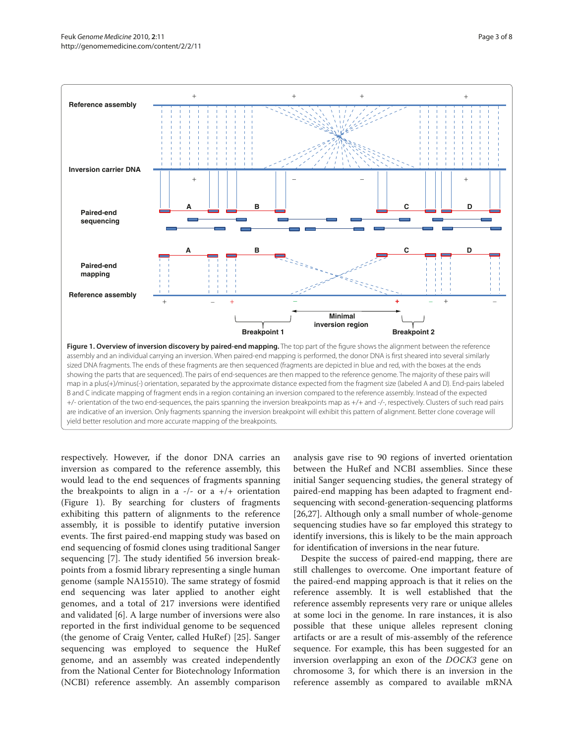

respectively. However, if the donor DNA carries an inversion as compared to the reference assembly, this would lead to the end sequences of fragments spanning the breakpoints to align in a  $-/-$  or a  $+/+$  orientation (Figure 1). By searching for clusters of fragments exhibiting this pattern of alignments to the reference assembly, it is possible to identify putative inversion events. The first paired-end mapping study was based on end sequencing of fosmid clones using traditional Sanger sequencing [7]. The study identified 56 inversion breakpoints from a fosmid library representing a single human genome (sample NA15510). The same strategy of fosmid end sequencing was later applied to another eight genomes, and a total of 217 inversions were identified and validated [6]. A large number of inversions were also reported in the first individual genome to be sequenced (the genome of Craig Venter, called HuRef) [25]. Sanger sequencing was employed to sequence the HuRef genome, and an assembly was created independently from the National Center for Biotechnology Information (NCBI) reference assembly. An assembly comparison

analysis gave rise to 90 regions of inverted orientation between the HuRef and NCBI assemblies. Since these initial Sanger sequencing studies, the general strategy of paired-end mapping has been adapted to fragment endsequencing with second-generation-sequencing platforms [26,27]. Although only a small number of whole-genome sequencing studies have so far employed this strategy to identify inversions, this is likely to be the main approach for identification of inversions in the near future.

Despite the success of paired-end mapping, there are still challenges to overcome. One important feature of the paired-end mapping approach is that it relies on the reference assembly. It is well established that the reference assembly represents very rare or unique alleles at some loci in the genome. In rare instances, it is also possible that these unique alleles represent cloning artifacts or are a result of mis-assembly of the reference sequence. For example, this has been suggested for an inversion overlapping an exon of the *DOCK3* gene on chromosome 3, for which there is an inversion in the reference assembly as compared to available mRNA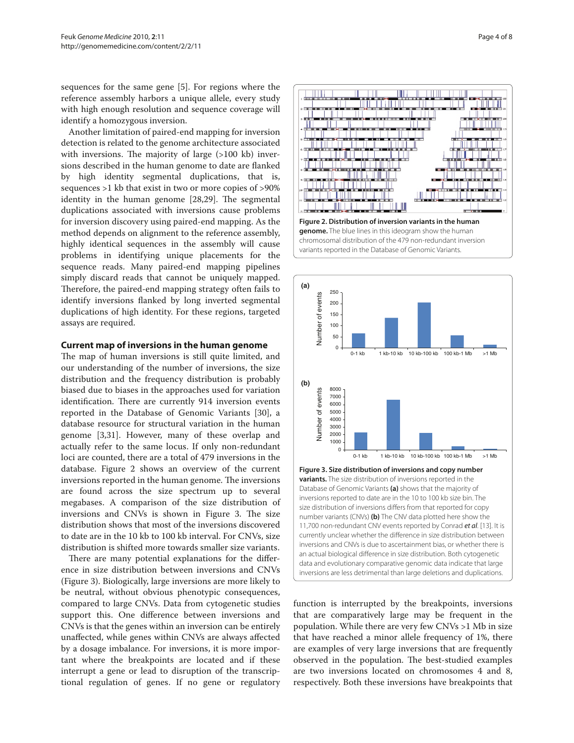sequences for the same gene [5]. For regions where the reference assembly harbors a unique allele, every study with high enough resolution and sequence coverage will identify a homozygous inversion.

Another limitation of paired-end mapping for inversion detection is related to the genome architecture associated with inversions. The majority of large (>100 kb) inversions described in the human genome to date are flanked by high identity segmental duplications, that is, sequences >1 kb that exist in two or more copies of >90% identity in the human genome [28,29]. The segmental duplications associated with inversions cause problems for inversion discovery using paired-end mapping. As the method depends on alignment to the reference assembly, highly identical sequences in the assembly will cause problems in identifying unique placements for the sequence reads. Many paired-end mapping pipelines simply discard reads that cannot be uniquely mapped. Therefore, the paired-end mapping strategy often fails to identify inversions flanked by long inverted segmental duplications of high identity. For these regions, targeted assays are required.

### **Current map of inversions in the human genome**

The map of human inversions is still quite limited, and our understanding of the number of inversions, the size distribution and the frequency distribution is probably biased due to biases in the approaches used for variation identification. There are currently 914 inversion events reported in the Database of Genomic Variants [30], a database resource for structural variation in the human genome [3,31]. However, many of these overlap and actually refer to the same locus. If only non-redundant loci are counted, there are a total of 479 inversions in the database. Figure 2 shows an overview of the current inversions reported in the human genome. The inversions are found across the size spectrum up to several megabases. A comparison of the size distribution of inversions and CNVs is shown in Figure 3. The size distribution shows that most of the inversions discovered to date are in the 10 kb to 100 kb interval. For CNVs, size distribution is shifted more towards smaller size variants.

There are many potential explanations for the difference in size distribution between inversions and CNVs (Figure 3). Biologically, large inversions are more likely to be neutral, without obvious phenotypic consequences, compared to large CNVs. Data from cytogenetic studies support this. One difference between inversions and CNVs is that the genes within an inversion can be entirely unaffected, while genes within CNVs are always affected by a dosage imbalance. For inversions, it is more important where the breakpoints are located and if these interrupt a gene or lead to disruption of the transcriptional regulation of genes. If no gene or regulatory





currently unclear whether the difference in size distribution between inversions and CNVs is due to ascertainment bias, or whether there is an actual biological difference in size distribution. Both cytogenetic data and evolutionary comparative genomic data indicate that large inversions are less detrimental than large deletions and duplications.

function is interrupted by the breakpoints, inversions that are comparatively large may be frequent in the population. While there are very few CNVs >1 Mb in size that have reached a minor allele frequency of 1%, there are examples of very large inversions that are frequently observed in the population. The best-studied examples are two inversions located on chromosomes 4 and 8, respectively. Both these inversions have breakpoints that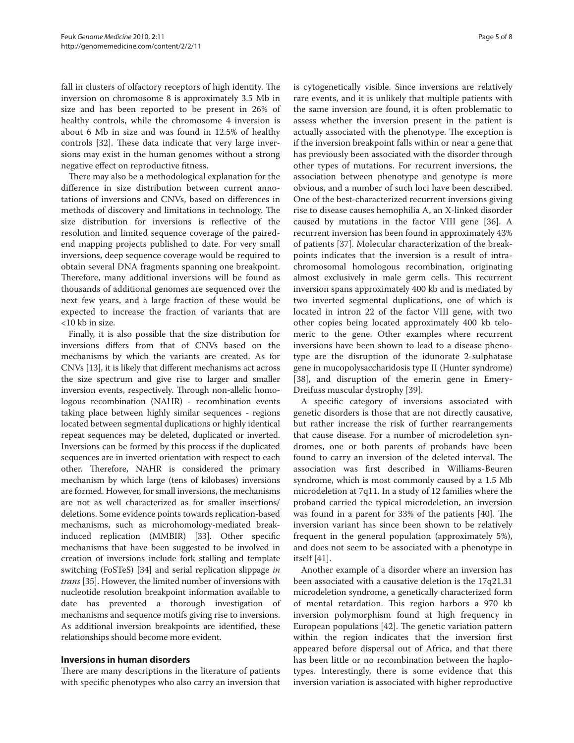fall in clusters of olfactory receptors of high identity. The inversion on chromosome 8 is approximately 3.5 Mb in size and has been reported to be present in 26% of healthy controls, while the chromosome 4 inversion is about 6 Mb in size and was found in 12.5% of healthy controls [32]. These data indicate that very large inversions may exist in the human genomes without a strong negative effect on reproductive fitness.

There may also be a methodological explanation for the difference in size distribution between current annotations of inversions and CNVs, based on differences in methods of discovery and limitations in technology. The size distribution for inversions is reflective of the resolution and limited sequence coverage of the pairedend mapping projects published to date. For very small inversions, deep sequence coverage would be required to obtain several DNA fragments spanning one breakpoint. Therefore, many additional inversions will be found as thousands of additional genomes are sequenced over the next few years, and a large fraction of these would be expected to increase the fraction of variants that are <10 kb in size.

Finally, it is also possible that the size distribution for inversions differs from that of CNVs based on the mechanisms by which the variants are created. As for CNVs [13], it is likely that different mechanisms act across the size spectrum and give rise to larger and smaller inversion events, respectively. Through non-allelic homologous recombination (NAHR) - recombination events taking place between highly similar sequences - regions located between segmental duplications or highly identical repeat sequences may be deleted, duplicated or inverted. Inversions can be formed by this process if the duplicated sequences are in inverted orientation with respect to each other. Therefore, NAHR is considered the primary mechanism by which large (tens of kilobases) inversions are formed. However, for small inversions, the mechanisms are not as well characterized as for smaller insertions/ deletions. Some evidence points towards replication-based mechanisms, such as microhomology-mediated breakinduced replication (MMBIR) [33]. Other specific mechanisms that have been suggested to be involved in creation of inversions include fork stalling and template switching (FoSTeS) [34] and serial replication slippage *in trans* [35]. However, the limited number of inversions with nucleotide resolution breakpoint information available to date has prevented a thorough investigation of mechanisms and sequence motifs giving rise to inversions. As additional inversion breakpoints are identified, these relationships should become more evident.

# **Inversions in human disorders**

There are many descriptions in the literature of patients with specific phenotypes who also carry an inversion that is cytogenetically visible. Since inversions are relatively rare events, and it is unlikely that multiple patients with the same inversion are found, it is often problematic to assess whether the inversion present in the patient is actually associated with the phenotype. The exception is if the inversion breakpoint falls within or near a gene that has previously been associated with the disorder through other types of mutations. For recurrent inversions, the association between phenotype and genotype is more obvious, and a number of such loci have been described. One of the best-characterized recurrent inversions giving rise to disease causes hemophilia A, an X-linked disorder caused by mutations in the factor VIII gene [36]. A recurrent inversion has been found in approximately 43% of patients [37]. Molecular characterization of the breakpoints indicates that the inversion is a result of intrachromosomal homologous recombination, originating almost exclusively in male germ cells. This recurrent inversion spans approximately 400 kb and is mediated by two inverted segmental duplications, one of which is located in intron 22 of the factor VIII gene, with two other copies being located approximately 400 kb telomeric to the gene. Other examples where recurrent inversions have been shown to lead to a disease phenotype are the disruption of the idunorate 2-sulphatase gene in mucopolysaccharidosis type II (Hunter syndrome) [38], and disruption of the emerin gene in Emery-Dreifuss muscular dystrophy [39].

A specific category of inversions associated with genetic disorders is those that are not directly causative, but rather increase the risk of further rearrangements that cause disease. For a number of microdeletion syndromes, one or both parents of probands have been found to carry an inversion of the deleted interval. The association was first described in Williams-Beuren syndrome, which is most commonly caused by a 1.5 Mb microdeletion at 7q11. In a study of 12 families where the proband carried the typical microdeletion, an inversion was found in a parent for 33% of the patients [40]. The inversion variant has since been shown to be relatively frequent in the general population (approximately 5%), and does not seem to be associated with a phenotype in itself [41].

Another example of a disorder where an inversion has been associated with a causative deletion is the 17q21.31 microdeletion syndrome, a genetically characterized form of mental retardation. This region harbors a 970 kb inversion polymorphism found at high frequency in European populations [42]. The genetic variation pattern within the region indicates that the inversion first appeared before dispersal out of Africa, and that there has been little or no recombination between the haplotypes. Interestingly, there is some evidence that this inversion variation is associated with higher reproductive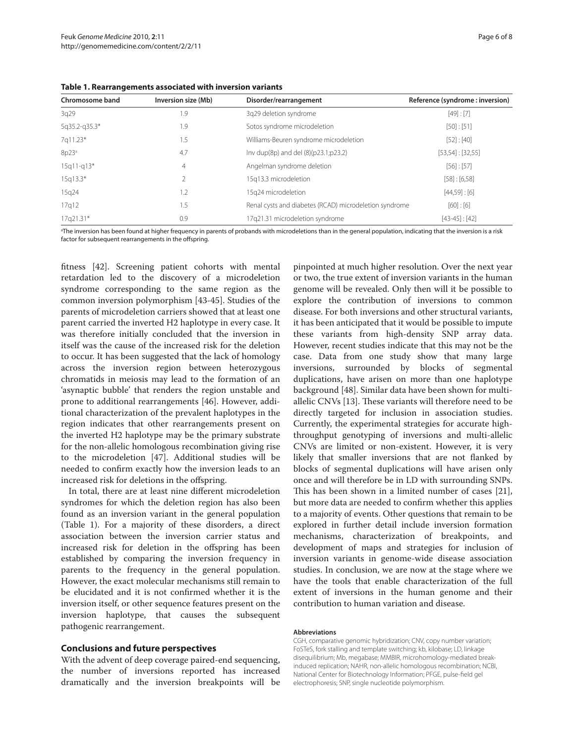| Chromosome band | Inversion size (Mb) | Disorder/rearrangement                                 | Reference (syndrome: inversion) |
|-----------------|---------------------|--------------------------------------------------------|---------------------------------|
| 3q29            | 1.9                 | 3q29 deletion syndrome                                 | [49] : [7]                      |
| 5q35.2-q35.3*   | 1.9                 | Sotos syndrome microdeletion                           | [50] : [51]                     |
| 7q11.23*        | 1.5                 | Williams-Beuren syndrome microdeletion                 | [52] : [40]                     |
| 8p23a           | 4.7                 | Inv dup(8p) and del (8)(p23.1;p23.2)                   | $[53,54]$ : [32,55]             |
| $15q11-q13*$    | $\overline{4}$      | Angelman syndrome deletion                             | [56] : [57]                     |
| $15q13.3*$      | 2                   | 15q13.3 microdeletion                                  | [58] : [6,58]                   |
| 15g24           | 1.2                 | 15g24 microdeletion                                    | $[44,59]$ : [6]                 |
| 17q12           | 1.5                 | Renal cysts and diabetes (RCAD) microdeletion syndrome | [60] : [6]                      |
| 17q21.31*       | 0.9                 | 17g21.31 microdeletion syndrome                        | $[43-45]$ : [42]                |

**Table 1. Rearrangements associated with inversion variants**

a The inversion has been found at higher frequency in parents of probands with microdeletions than in the general population, indicating that the inversion is a risk factor for subsequent rearrangements in the offspring.

fitness [42]. Screening patient cohorts with mental retardation led to the discovery of a microdeletion syndrome corresponding to the same region as the common inversion polymorphism [43-45]. Studies of the parents of microdeletion carriers showed that at least one parent carried the inverted H2 haplotype in every case. It was therefore initially concluded that the inversion in itself was the cause of the increased risk for the deletion to occur. It has been suggested that the lack of homology across the inversion region between heterozygous chromatids in meiosis may lead to the formation of an 'asynaptic bubble' that renders the region unstable and prone to additional rearrangements [46]. However, additional characterization of the prevalent haplotypes in the region indicates that other rearrangements present on the inverted H2 haplotype may be the primary substrate for the non-allelic homologous recombination giving rise to the microdeletion [47]. Additional studies will be needed to confirm exactly how the inversion leads to an increased risk for deletions in the offspring.

In total, there are at least nine different microdeletion syndromes for which the deletion region has also been found as an inversion variant in the general population (Table 1). For a majority of these disorders, a direct association between the inversion carrier status and increased risk for deletion in the offspring has been established by comparing the inversion frequency in parents to the frequency in the general population. However, the exact molecular mechanisms still remain to be elucidated and it is not confirmed whether it is the inversion itself, or other sequence features present on the inversion haplotype, that causes the subsequent pathogenic rearrangement.

### **Conclusions and future perspectives**

With the advent of deep coverage paired-end sequencing, the number of inversions reported has increased dramatically and the inversion breakpoints will be

pinpointed at much higher resolution. Over the next year or two, the true extent of inversion variants in the human genome will be revealed. Only then will it be possible to explore the contribution of inversions to common disease. For both inversions and other structural variants, it has been anticipated that it would be possible to impute these variants from high-density SNP array data. However, recent studies indicate that this may not be the case. Data from one study show that many large inversions, surrounded by blocks of segmental duplications, have arisen on more than one haplotype background [48]. Similar data have been shown for multiallelic CNVs [13]. These variants will therefore need to be directly targeted for inclusion in association studies. Currently, the experimental strategies for accurate highthroughput genotyping of inversions and multi-allelic CNVs are limited or non-existent. However, it is very likely that smaller inversions that are not flanked by blocks of segmental duplications will have arisen only once and will therefore be in LD with surrounding SNPs. This has been shown in a limited number of cases [21], but more data are needed to confirm whether this applies to a majority of events. Other questions that remain to be explored in further detail include inversion formation mechanisms, characterization of breakpoints, and development of maps and strategies for inclusion of inversion variants in genome-wide disease association studies. In conclusion, we are now at the stage where we have the tools that enable characterization of the full extent of inversions in the human genome and their contribution to human variation and disease.

#### **Abbreviations**

CGH, comparative genomic hybridization; CNV, copy number variation; FoSTeS, fork stalling and template switching; kb, kilobase; LD, linkage disequilibrium; Mb, megabase; MMBIR, microhomology-mediated breakinduced replication; NAHR, non-allelic homologous recombination; NCBI, National Center for Biotechnology Information; PFGE, pulse-field gel electrophoresis; SNP, single nucleotide polymorphism.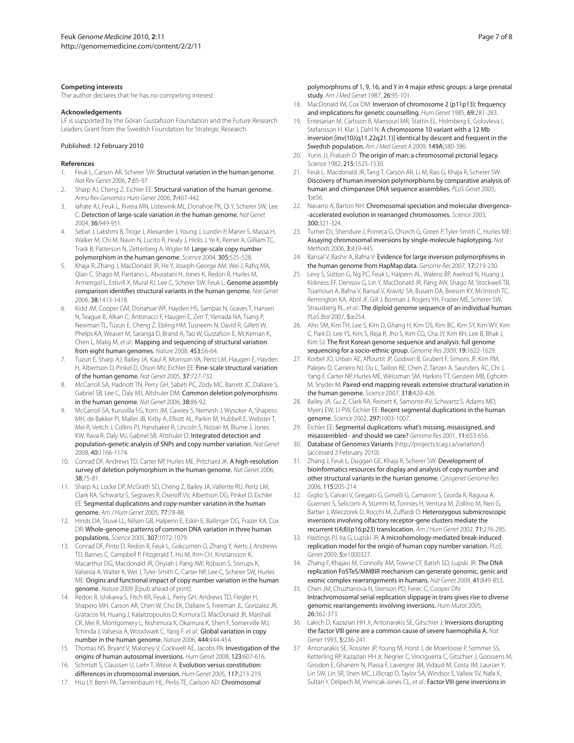#### **Competing interests**

The author declares that he has no competing interest.

#### **Acknowledgements**

LF is supported by the Göran Gustafsson Foundation and the Future Research Leaders Grant from the Swedish Foundation for Strategic Research.

#### Published: 12 February 2010

#### **References**

- Feuk L, Carson AR, Scherer SW: Structural variation in the human genome. *Nat Rev Genet* 2006, 7:85-97.
- 2. Sharp AJ, Cheng Z, Eichler EE: Structural variation of the human genome. *Annu Rev Genomics Hum Genet* 2006, 7:407-442.
- 3. Iafrate AJ, Feuk L, Rivera MN, Listewnik ML, Donahoe PK, Qi Y, Scherer SW, Lee C: Detection of large-scale variation in the human genome. *Nat Genet*  2004, 36:949-951.
- Sebat J, Lakshmi B, Troge J, Alexander J, Young J, Lundin P, Maner S, Massa H, Walker M, Chi M, Navin N, Lucito R, Healy J, Hicks J, Ye K, Reiner A, Gilliam TC, Trask B, Patterson N, Zetterberg A, Wigler M: Large-scale copy number polymorphism in the human genome. *Science* 2004, 305:525-528.
- 5. Khaja R, Zhang J, MacDonald JR, He Y, Joseph-George AM, Wei J, Rafiq MA, Qian C, Shago M, Pantano L, Aburatani H, Jones K, Redon R, Hurles M, Armengol L, Estivill X, Mural RJ, Lee C, Scherer SW, Feuk L; Genome assembly comparison identifies structural variants in the human genome. *Nat Genet*  2006, 38:1413-1418.
- 6. Kidd JM, Cooper GM, Donahue WF, Hayden HS, Sampas N, Graves T, Hansen N, Teague B, Alkan C, Antonacci F, Haugen E, Zerr T, Yamada NA, Tsang P, Newman TL, Tuzun E, Cheng Z, Ebling HM, Tusneem N, David R, Gillett W, Phelps KA, Weaver M, Saranga D, Brand A, Tao W, Gustafson E, McKernan K, Chen L, Malig M, *et al*.: Mapping and sequencing of structural variation from eight human genomes. *Nature* 2008, 453:56-64.
- 7. Tuzun E, Sharp AJ, Bailey JA, Kaul R, Morrison VA, Pertz LM, Haugen E, Hayden H, Albertson D, Pinkel D, Olson MV, Eichler EE: Fine-scale structural variation of the human genome. *Nat Genet* 2005, 37:727-732.
- 8. McCarroll SA, Hadnott TN, Perry GH, Sabeti PC, Zody MC, Barrett JC, Dallaire S, Gabriel SB, Lee C, Daly MJ, Altshuler DM: Common deletion polymorphisms in the human genome. *Nat Genet* 2006, 38:86-92.
- 9. McCarroll SA, Kuruvilla FG, Korn JM, Cawley S, Nemesh J, Wysoker A, Shapero MH, de Bakker PI, Maller JB, Kirby A, Elliott AL, Parkin M, Hubbell E, Webster T, Mei R, Veitch J, Collins PJ, Handsaker R, Lincoln S, Nizzari M, Blume J, Jones KW, Rava R, Daly MJ, Gabriel SB, Altshuler D: Integrated detection and population-genetic analysis of SNPs and copy number variation. *Nat Genet*  2008, 40:1166-1174.
- 10. Conrad DE, Andrews TD, Carter NP, Hurles ME, Pritchard JK: A high-resolution survey of deletion polymorphism in the human genome. *Nat Genet* 2006, 38:75-81.
- 11. Sharp AJ, Locke DP, McGrath SD, Cheng Z, Bailey JA, Vallente RU, Pertz LM, Clark RA, Schwartz S, Segraves R, Oseroff VV, Albertson DG, Pinkel D, Eichler EE: Segmental duplications and copy-number variation in the human genome. *Am J Hum Genet* 2005, 77:78-88.
- 12. Hinds DA, Stuve LL, Nilsen GB, Halperin E, Eskin E, Ballinger DG, Frazer KA, Cox DR: Whole-genome patterns of common DNA variation in three human populations. *Science* 2005, 307:1072-1079.
- 13. Conrad DF, Pinto D, Redon R, Feuk L, Gokcumen O, Zhang Y, Aerts J, Andrews TD, Barnes C, Campbell P, Fitzgerald T, Hu M, Ihm CH, Kristiansson K, Macarthur DG, Macdonald JR, Onyiah I, Pang AW, Robson S, Stirrups K, Valsesia A, Walter K, Wei J, Tyler-Smith C, Carter NP, Lee C, Scherer SW, Hurles ME: Origins and functional impact of copy number variation in the human genome. *Nature* 2009 [Epub ahead of print].
- 14. Redon R, Ishikawa S, Fitch KR, Feuk L, Perry GH, Andrews TD, Fiegler H, Shapero MH, Carson AR, Chen W, Cho EK, Dallaire S, Freeman JL, Gonzalez JR, Gratacos M, Huang J, Kalaitzopoulos D, Komura D, MacDonald JR, Marshall CR, Mei R, Montgomery L, Nishimura K, Okamura K, Shen F, Somerville MJ, Tchinda J, Valsesia A, Woodwark C, Yang F, *et al*.: Global variation in copy number in the human genome. *Nature* 2006, 444:444-454.
- 15. Thomas NS, Bryant V, Maloney V, Cockwell AE, Jacobs PA: Investigation of the origins of human autosomal inversions. *Hum Genet* 2008, 123:607-616.
- 16. Schmidt S, Claussen U, Liehr T, Weise A: Evolution versus constitution: differences in chromosomal inversion. *Hum Genet* 2005, 117:213-219.
- 17. Hsu LY, Benn PA, Tannenbaum HL, Perlis TE, Carlson AD: Chromosomal

polymorphisms of 1, 9, 16, and Y in 4 major ethnic groups: a large prenatal study. *Am J Med Genet* 1987, 26:95-101.

- 18. MacDonald IM, Cox DM: Inversion of chromosome 2 (p11p13): frequency and implications for genetic counselling. *Hum Genet* 1985, 69:281-283.
- 19. Entesarian M, Carlsson B, Mansouri MR, Stattin EL, Holmberg E, Golovleva I, Stefansson H, Klar J, Dahl N: A chromosome 10 variant with a 12 Mb inversion [inv(10)(q11.22q21.1)] identical by descent and frequent in the Swedish population. *Am J Med Genet A* 2009, 149A:380-386.
- 20. Yunis JJ, Prakash O: The origin of man: a chromosomal pictorial legacy. *Science* 1982, 215:1525-1530.
- 21. Feuk L, Macdonald JR, Tang T, Carson AR, Li M, Rao G, Khaja R, Scherer SW: Discovery of human inversion polymorphisms by comparative analysis of human and chimpanzee DNA sequence assemblies. *PLoS Genet* 2005, 1:e56.
- 22. Navarro A, Barton NH: Chromosomal speciation and molecular divergence--accelerated evolution in rearranged chromosomes. *Science* 2003, 300:321-324.
- 23. Turner DJ, Shendure J, Porreca G, Church G, Green P, Tyler-Smith C, Hurles ME: Assaying chromosomal inversions by single-molecule haplotyping. *Nat Methods* 2006, 3:439-445.
- Bansal V, Bashir A, Bafna V: Evidence for large inversion polymorphisms in the human genome from HapMap data. *Genome Res* 2007, 17:219-230.
- 25. Levy S, Sutton G, Ng PC, Feuk L, Halpern AL, Walenz BP, Axelrod N, Huang J, Kirkness EF, Denisov G, Lin Y, MacDonald JR, Pang AW, Shago M, Stockwell TB, Tsiamouri A, Bafna V, Bansal V, Kravitz SA, Busam DA, Beeson KY, McIntosh TC, Remington KA, Abril JF, Gill J, Borman J, Rogers YH, Frazier ME, Scherer SW, Strausberg RL, *et al*.: The diploid genome sequence of an individual human. *PLoS Biol* 2007, 5:e254.
- 26. Ahn SM, Kim TH, Lee S, Kim D, Ghang H, Kim DS, Kim BC, Kim SY, Kim WY, Kim C, Park D, Lee YS, Kim S, Reja R, Jho S, Kim CG, Cha JY, Kim KH, Lee B, Bhak J, Kim SJ: The first Korean genome sequence and analysis: full genome sequencing for a socio-ethnic group. *Genome Res* 2009, 19:1622-1629.
- 27. Korbel JO, Urban AE, Affourtit JP, Godwin B, Grubert F, Simons JF, Kim PM, Palejev D, Carriero NJ, Du L, Taillon BE, Chen Z, Tanzer A, Saunders AC, Chi J, Yang F, Carter NP, Hurles ME, Weissman SM, Harkins TT, Gerstein MB, Egholm M, Snyder M: Paired-end mapping reveals extensive structural variation in the human genome. *Science* 2007, 318:420-426.
- 28. Bailey JA, Gu Z, Clark RA, Reinert K, Samonte RV, Schwartz S, Adams MD, Myers EW, Li PW, Eichler EE: Recent segmental duplications in the human genome. *Science* 2002, 297:1003-1007.
- 29. Eichler EE: Segmental duplications: what's missing, misassigned, and misassembled - and should we care? *Genome Res* 2001, 11:653-656.
- 30. Database of Genomics Variants [http://projects.tcag.ca/variation/] (accessed 2 February 2010).
- 31. Zhang J, Feuk L, Duggan GE, Khaja R, Scherer SW: Development of bioinformatics resources for display and analysis of copy number and other structural variants in the human genome. *Cytogenet Genome Res*  2006, 115:205-214.
- 32. Giglio S, Calvari V, Gregato G, Gimelli G, Camanini S, Giorda R, Ragusa A, Guerneri S, Selicorni A, Stumm M, Tonnies H, Ventura M, Zollino M, Neri G, Barber J, Wieczorek D, Rocchi M, Zuffardi O: Heterozygous submicroscopic inversions involving olfactory receptor-gene clusters mediate the recurrent t(4;8)(p16;p23) translocation. *Am J Hum Genet* 2002, 71:276-285.
- 33. Hastings PJ, Ira G, Lupski JR: A microhomology-mediated break-induced replication model for the origin of human copy number variation. *PLoS Genet* 2009, 5:e1000327.
- 34. Zhang F, Khajavi M, Connolly AM, Towne CF, Batish SD, Lupski JR: The DNA replication FoSTeS/MMBIR mechanism can generate genomic, genic and exonic complex rearrangements in humans. *Nat Genet* 2009, 41:849-853.
- 35. Chen JM, Chuzhanova N, Stenson PD, Ferec C, Cooper DN: Intrachromosomal serial replication slippage in trans gives rise to diverse genomic rearrangements involving inversions. *Hum Mutat* 2005, 26:362-373.
- 36. Lakich D, Kazazian HH Jr, Antonarakis SE, Gitschier J: Inversions disrupting the factor VIII gene are a common cause of severe haemophilia A. *Nat Genet* 1993, 5:236-241.
- 37. Antonarakis SE, Rossiter JP, Young M, Horst J, de Moerloose P, Sommer SS, Ketterling RP, Kazazian HH Jr, Negrier C, Vinciguerra C, Gitschier J, Goossens M, Girodon E, Ghanem N, Plassa F, Lavergne JM, Vidaud M, Costa JM, Laurian Y, Lin SW, Lin SR, Shen MC, Lillicrap D, Taylor SA, Windsor S, Valleix SV, Nafa K, Sultan Y, Delpech M, Vnencak-Jones CL, *et al*.: Factor VIII gene inversions in